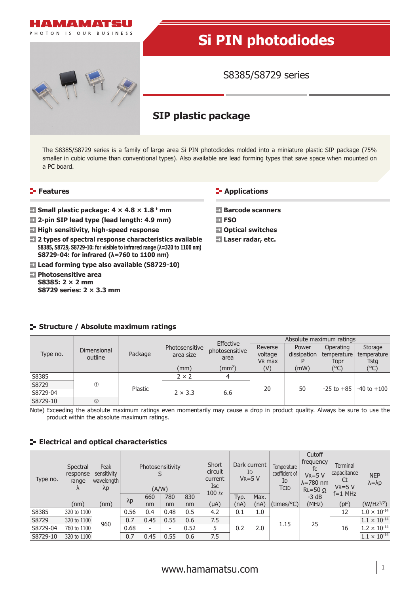

The S8385/S8729 series is a family of large area Si PIN photodiodes molded into a miniature plastic SIP package (75% smaller in cubic volume than conventional types). Also available are lead forming types that save space when mounted on a PC board.

#### **Features**

- **Small plastic package: 4 × 4.8 × 1.8 t mm**
- **2-pin SIP lead type (lead length: 4.9 mm)**
- **High sensitivity, high-speed response**
- **2 types of spectral response characteristics available S8385, S8729, S8729-10: for visible to infrared range (λ=320 to 1100 nm) S8729-04: for infrared (λ=760 to 1100 nm)**
- **Lead forming type also available (S8729-10)**
- **Photosensitive area S8385: 2 × 2 mm S8729 series: 2 × 3.3 mm**

#### **E-** Applications

- **Barcode scanners**
- **FSO**
- **Optical switches**
- **Laser radar, etc.**

|          |               |         |                |                             | Absolute maximum ratings |             |                                  |             |  |
|----------|---------------|---------|----------------|-----------------------------|--------------------------|-------------|----------------------------------|-------------|--|
|          | Dimensional   |         | Photosensitive | Effective<br>photosensitive | Reverse                  | Power       | Operating                        | Storage     |  |
| Type no. | outline       | Package | area size      | area                        | voltage                  | dissipation | temperature                      | temperature |  |
|          |               |         |                |                             | V <sub>R</sub> max       |             | Topr                             | Tstg        |  |
|          |               |         | (mm)           | $\text{(mm}^2)$             | (V)                      | (mW)        | (°C)                             | (°C)        |  |
| S8385    |               |         | $2 \times 2$   |                             |                          |             |                                  |             |  |
| S8729    | $^{\circ}$    | Plastic |                |                             | 20                       | 50          | $-25$ to $+85$   $-40$ to $+100$ |             |  |
| S8729-04 |               |         | $2 \times 3.3$ | 6.6                         |                          |             |                                  |             |  |
| S8729-10 | $\circled{2}$ |         |                |                             |                          |             |                                  |             |  |

#### **Structure / Absolute maximum ratings**

Note) Exceeding the absolute maximum ratings even momentarily may cause a drop in product quality. Always be sure to use the product within the absolute maximum ratings.

#### **E-** Electrical and optical characteristics

| Type no. | Spectral<br>response<br>range<br>Λ | Peak<br>sensitivity<br>  wavelength  <br>$\lambda p$ |             | Photosensitivity | (A/W) |      | Short<br>circuit<br>current<br><b>Isc</b><br>100 $lx$ | Dark current<br>ID<br>$V_R = 5 V$ |      | Temperature<br>coefficient of<br>ID<br>TCID | Cutoff<br>frequency<br>fс<br>$V_R = 5 V$<br>$\lambda$ =780 nm<br>$RL=50$ $Q$ | Terminal<br>capacitance<br>Ct<br>$V_R = 5 V$ | <b>NEP</b><br>$\lambda = \lambda p$ |
|----------|------------------------------------|------------------------------------------------------|-------------|------------------|-------|------|-------------------------------------------------------|-----------------------------------|------|---------------------------------------------|------------------------------------------------------------------------------|----------------------------------------------|-------------------------------------|
|          |                                    |                                                      |             | 660              | 780   | 830  |                                                       | Typ.                              | Max. |                                             | $-3$ dB                                                                      | $f=1$ MHz                                    |                                     |
|          | (nm)                               | (nm)                                                 | $\lambda p$ | nm               | nm    | nm   | (µA)                                                  | (nA)                              | (nA) | $(\text{times}/^{\circ}C)$                  | (MHz)                                                                        | (pF)                                         | $(W/Hz^{1/2})$                      |
| S8385    | 320 to 1100                        |                                                      | 0.56        | 0.4              | 0.48  | 0.5  | 4.2                                                   | 0.1                               | 1.0  |                                             |                                                                              | 12                                           | $1.0\times10^{\text{-}14}$          |
| S8729    | 320 to 1100                        | 960                                                  | 0.7         | 0.45             | 0.55  | 0.6  | 7.5                                                   |                                   |      | 1.15                                        | 25                                                                           |                                              | $1.1 \times 10^{-14}$               |
| S8729-04 | 760 to 1100                        |                                                      | 0.68        | -                |       | 0.52 | 5                                                     | 0.2                               | 2.0  |                                             |                                                                              | 16                                           | $1.2 \times 10^{-14}$               |
| S8729-10 | 320 to 1100                        |                                                      | 0.7         | 0.45             | 0.55  | 0.6  | 7.5                                                   |                                   |      |                                             |                                                                              |                                              | $1.1 \times 10^{-14}$               |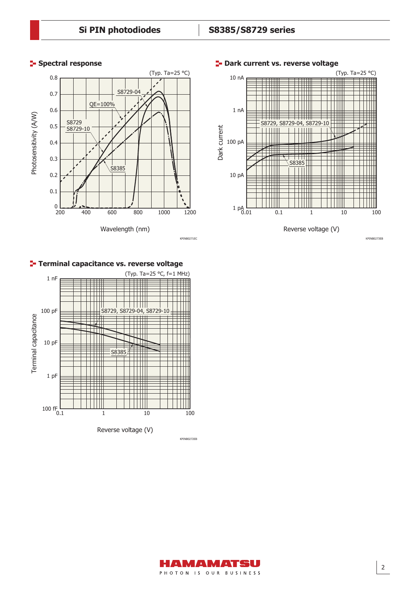# **Spectral response**





# **Terminal capacitance vs. reverse voltage**



M ANMAN PHOTON IS OUR BUSINESS

#### **E-** Dark current vs. reverse voltage

2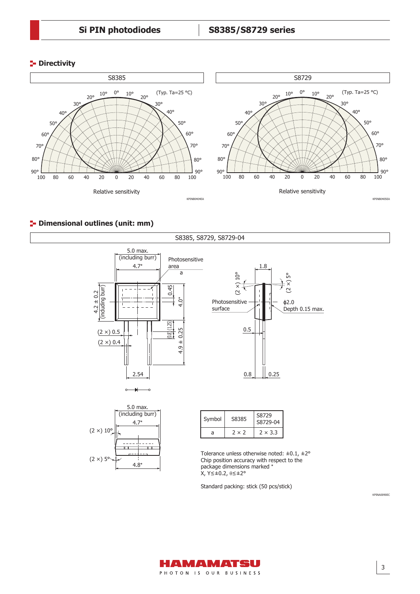#### **P** Directivity



### **<sup>1</sup>** Dimensional outlines (unit: mm)





| Symbol | S8385        | S8729<br>S8729-04 |  |  |  |
|--------|--------------|-------------------|--|--|--|
| a      | $2 \times 2$ | $2 \times 3.3$    |  |  |  |

Tolerance unless otherwise noted:  $\pm 0.1$ ,  $\pm 2^{\circ}$ Chip position accuracy with respect to the package dimensions marked \* X, Y≤±0.2, θ≤±2°

3

KPINA0090EC

Standard packing: stick (50 pcs/stick)